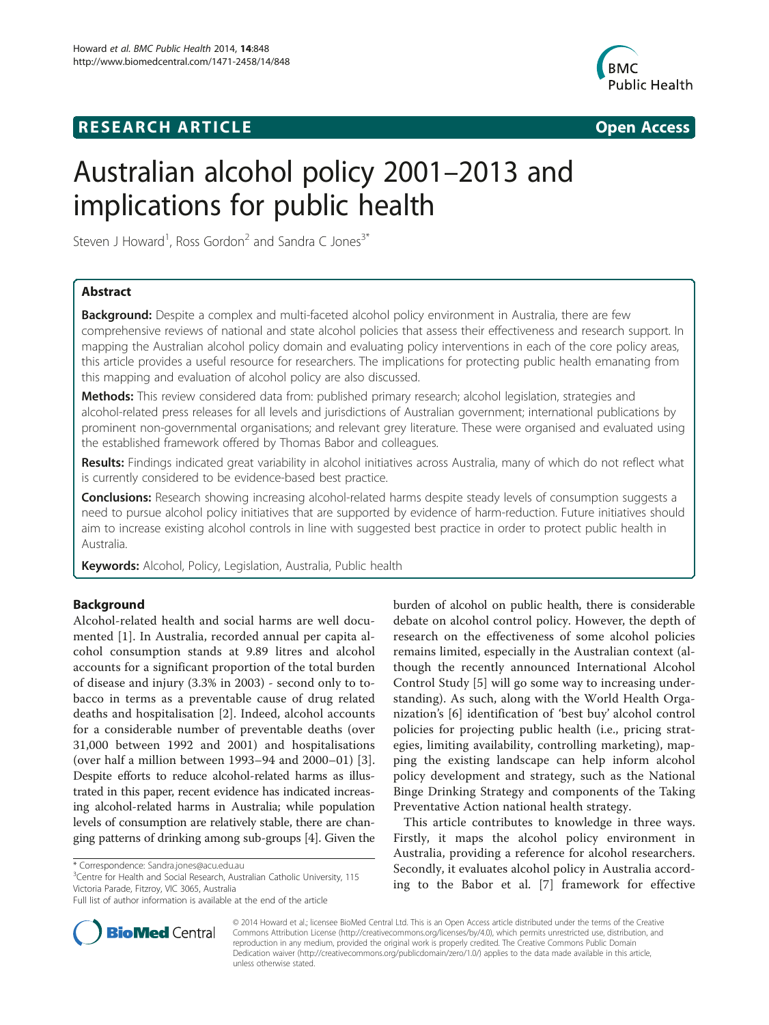# **RESEARCH ARTICLE Example 2014 CONSIDERING CONSIDERING CONSIDERING CONSIDERING CONSIDERING CONSIDERING CONSIDERING CONSIDERING CONSIDERING CONSIDERING CONSIDERING CONSIDERING CONSIDERING CONSIDERING CONSIDERING CONSIDE**



# Australian alcohol policy 2001–2013 and implications for public health

Steven J Howard<sup>1</sup>, Ross Gordon<sup>2</sup> and Sandra C Jones<sup>3\*</sup>

# Abstract

**Background:** Despite a complex and multi-faceted alcohol policy environment in Australia, there are few comprehensive reviews of national and state alcohol policies that assess their effectiveness and research support. In mapping the Australian alcohol policy domain and evaluating policy interventions in each of the core policy areas, this article provides a useful resource for researchers. The implications for protecting public health emanating from this mapping and evaluation of alcohol policy are also discussed.

Methods: This review considered data from: published primary research; alcohol legislation, strategies and alcohol-related press releases for all levels and jurisdictions of Australian government; international publications by prominent non-governmental organisations; and relevant grey literature. These were organised and evaluated using the established framework offered by Thomas Babor and colleagues.

Results: Findings indicated great variability in alcohol initiatives across Australia, many of which do not reflect what is currently considered to be evidence-based best practice.

**Conclusions:** Research showing increasing alcohol-related harms despite steady levels of consumption suggests a need to pursue alcohol policy initiatives that are supported by evidence of harm-reduction. Future initiatives should aim to increase existing alcohol controls in line with suggested best practice in order to protect public health in Australia.

Keywords: Alcohol, Policy, Legislation, Australia, Public health

# Background

Alcohol-related health and social harms are well documented [[1\]](#page-11-0). In Australia, recorded annual per capita alcohol consumption stands at 9.89 litres and alcohol accounts for a significant proportion of the total burden of disease and injury (3.3% in 2003) - second only to tobacco in terms as a preventable cause of drug related deaths and hospitalisation [[2\]](#page-11-0). Indeed, alcohol accounts for a considerable number of preventable deaths (over 31,000 between 1992 and 2001) and hospitalisations (over half a million between 1993–94 and 2000–01) [[3](#page-11-0)]. Despite efforts to reduce alcohol-related harms as illustrated in this paper, recent evidence has indicated increasing alcohol-related harms in Australia; while population levels of consumption are relatively stable, there are changing patterns of drinking among sub-groups [[4\]](#page-11-0). Given the

<sup>3</sup> Centre for Health and Social Research, Australian Catholic University, 115 Victoria Parade, Fitzroy, VIC 3065, Australia



This article contributes to knowledge in three ways. Firstly, it maps the alcohol policy environment in Australia, providing a reference for alcohol researchers. Secondly, it evaluates alcohol policy in Australia according to the Babor et al. [[7\]](#page-11-0) framework for effective



© 2014 Howard et al.; licensee BioMed Central Ltd. This is an Open Access article distributed under the terms of the Creative Commons Attribution License [\(http://creativecommons.org/licenses/by/4.0\)](http://creativecommons.org/licenses/by/4.0), which permits unrestricted use, distribution, and reproduction in any medium, provided the original work is properly credited. The Creative Commons Public Domain Dedication waiver [\(http://creativecommons.org/publicdomain/zero/1.0/](http://creativecommons.org/publicdomain/zero/1.0/)) applies to the data made available in this article, unless otherwise stated.

<sup>\*</sup> Correspondence: [Sandra.jones@acu.edu.au](mailto:Sandra.jones@acu.edu.au) <sup>3</sup>

Full list of author information is available at the end of the article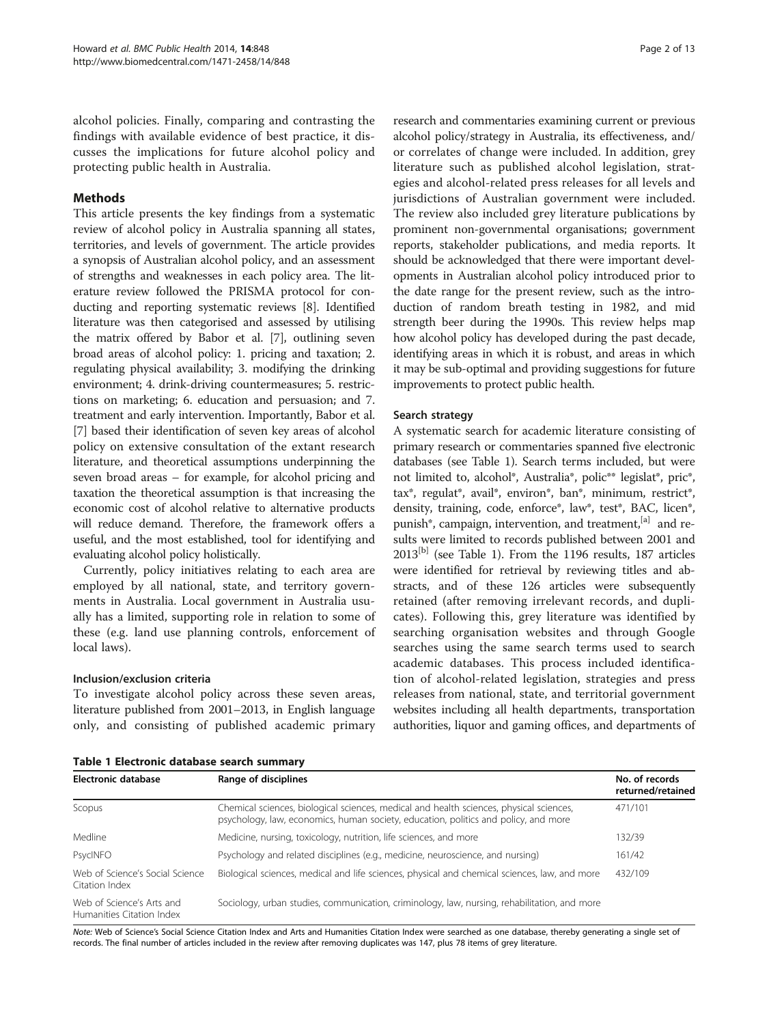alcohol policies. Finally, comparing and contrasting the findings with available evidence of best practice, it discusses the implications for future alcohol policy and protecting public health in Australia.

# Methods

This article presents the key findings from a systematic review of alcohol policy in Australia spanning all states, territories, and levels of government. The article provides a synopsis of Australian alcohol policy, and an assessment of strengths and weaknesses in each policy area. The literature review followed the PRISMA protocol for conducting and reporting systematic reviews [\[8](#page-11-0)]. Identified literature was then categorised and assessed by utilising the matrix offered by Babor et al. [\[7\]](#page-11-0), outlining seven broad areas of alcohol policy: 1. pricing and taxation; 2. regulating physical availability; 3. modifying the drinking environment; 4. drink-driving countermeasures; 5. restrictions on marketing; 6. education and persuasion; and 7. treatment and early intervention. Importantly, Babor et al. [[7\]](#page-11-0) based their identification of seven key areas of alcohol policy on extensive consultation of the extant research literature, and theoretical assumptions underpinning the seven broad areas – for example, for alcohol pricing and taxation the theoretical assumption is that increasing the economic cost of alcohol relative to alternative products will reduce demand. Therefore, the framework offers a useful, and the most established, tool for identifying and evaluating alcohol policy holistically.

Currently, policy initiatives relating to each area are employed by all national, state, and territory governments in Australia. Local government in Australia usually has a limited, supporting role in relation to some of these (e.g. land use planning controls, enforcement of local laws).

#### Inclusion/exclusion criteria

To investigate alcohol policy across these seven areas, literature published from 2001–2013, in English language only, and consisting of published academic primary

research and commentaries examining current or previous alcohol policy/strategy in Australia, its effectiveness, and/ or correlates of change were included. In addition, grey literature such as published alcohol legislation, strategies and alcohol-related press releases for all levels and jurisdictions of Australian government were included. The review also included grey literature publications by prominent non-governmental organisations; government reports, stakeholder publications, and media reports. It should be acknowledged that there were important developments in Australian alcohol policy introduced prior to the date range for the present review, such as the introduction of random breath testing in 1982, and mid strength beer during the 1990s. This review helps map how alcohol policy has developed during the past decade, identifying areas in which it is robust, and areas in which it may be sub-optimal and providing suggestions for future improvements to protect public health.

### Search strategy

A systematic search for academic literature consisting of primary research or commentaries spanned five electronic databases (see Table 1). Search terms included, but were not limited to, alcohol\*, Australia\*, polic\*\* legislat\*, pric\*, tax\*, regulat\*, avail\*, environ\*, ban\*, minimum, restrict\*, density, training, code, enforce\*, law\*, test\*, BAC, licen\*, punish<sup>\*</sup>, campaign, intervention, and treatment,<sup>[a]</sup> and results were limited to records published between 2001 and  $2013^{[b]}$  (see Table 1). From the 1196 results, 187 articles were identified for retrieval by reviewing titles and abstracts, and of these 126 articles were subsequently retained (after removing irrelevant records, and duplicates). Following this, grey literature was identified by searching organisation websites and through Google searches using the same search terms used to search academic databases. This process included identification of alcohol-related legislation, strategies and press releases from national, state, and territorial government websites including all health departments, transportation authorities, liquor and gaming offices, and departments of

Table 1 Electronic database search summary

Electronic database **Range of disciplines** Range Range of the Range of disciplines No. of records Range of disciplines returned/retained Scopus Chemical sciences, biological sciences, medical and health sciences, physical sciences, psychology, law, economics, human society, education, politics and policy, and more 471/101 Medline Medicine, nursing, toxicology, nutrition, life sciences, and more 132/39 PsycINFO Psychology and related disciplines (e.g., medicine, neuroscience, and nursing) 161/42 Web of Science's Social Science Citation Index Biological sciences, medical and life sciences, physical and chemical sciences, law, and more 432/109 Web of Science's Arts and Humanities Citation Index Sociology, urban studies, communication, criminology, law, nursing, rehabilitation, and more

Note: Web of Science's Social Science Citation Index and Arts and Humanities Citation Index were searched as one database, thereby generating a single set of records. The final number of articles included in the review after removing duplicates was 147, plus 78 items of grey literature.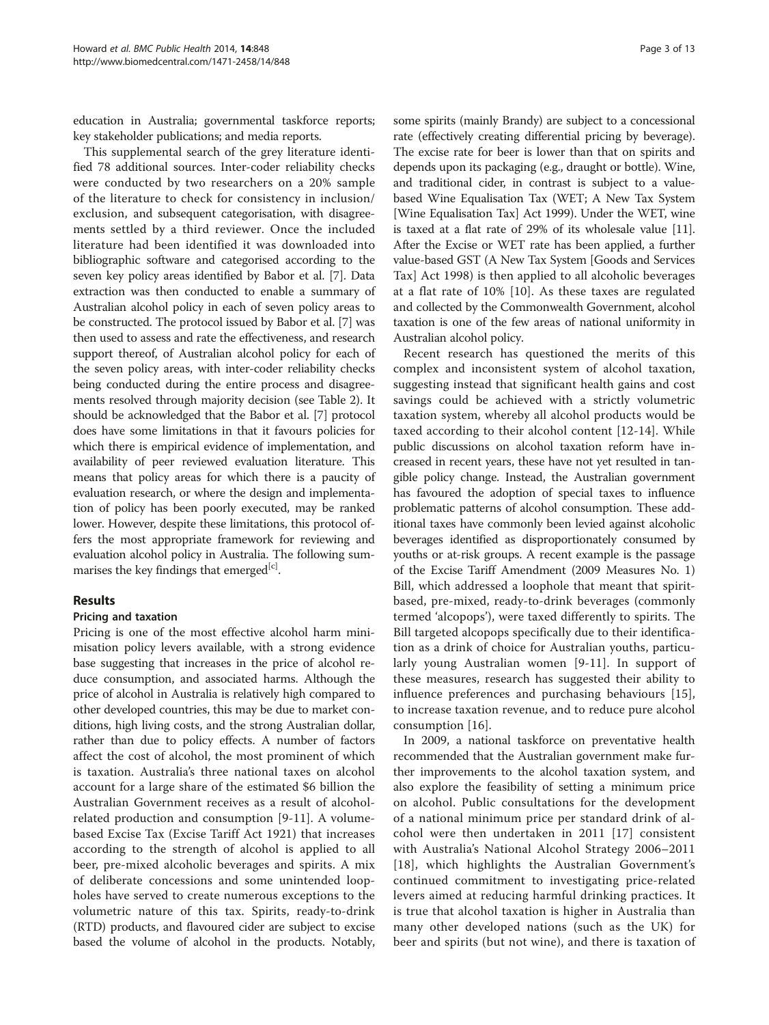education in Australia; governmental taskforce reports; key stakeholder publications; and media reports.

This supplemental search of the grey literature identified 78 additional sources. Inter-coder reliability checks were conducted by two researchers on a 20% sample of the literature to check for consistency in inclusion/ exclusion, and subsequent categorisation, with disagreements settled by a third reviewer. Once the included literature had been identified it was downloaded into bibliographic software and categorised according to the seven key policy areas identified by Babor et al. [\[7](#page-11-0)]. Data extraction was then conducted to enable a summary of Australian alcohol policy in each of seven policy areas to be constructed. The protocol issued by Babor et al. [\[7](#page-11-0)] was then used to assess and rate the effectiveness, and research support thereof, of Australian alcohol policy for each of the seven policy areas, with inter-coder reliability checks being conducted during the entire process and disagreements resolved through majority decision (see Table [2\)](#page-3-0). It should be acknowledged that the Babor et al. [[7\]](#page-11-0) protocol does have some limitations in that it favours policies for which there is empirical evidence of implementation, and availability of peer reviewed evaluation literature. This means that policy areas for which there is a paucity of evaluation research, or where the design and implementation of policy has been poorly executed, may be ranked lower. However, despite these limitations, this protocol offers the most appropriate framework for reviewing and evaluation alcohol policy in Australia. The following summarises the key findings that emerged $|c|$ .

# Results

# Pricing and taxation

Pricing is one of the most effective alcohol harm minimisation policy levers available, with a strong evidence base suggesting that increases in the price of alcohol reduce consumption, and associated harms. Although the price of alcohol in Australia is relatively high compared to other developed countries, this may be due to market conditions, high living costs, and the strong Australian dollar, rather than due to policy effects. A number of factors affect the cost of alcohol, the most prominent of which is taxation. Australia's three national taxes on alcohol account for a large share of the estimated \$6 billion the Australian Government receives as a result of alcoholrelated production and consumption [[9-11](#page-11-0)]. A volumebased Excise Tax (Excise Tariff Act 1921) that increases according to the strength of alcohol is applied to all beer, pre-mixed alcoholic beverages and spirits. A mix of deliberate concessions and some unintended loopholes have served to create numerous exceptions to the volumetric nature of this tax. Spirits, ready-to-drink (RTD) products, and flavoured cider are subject to excise based the volume of alcohol in the products. Notably,

some spirits (mainly Brandy) are subject to a concessional rate (effectively creating differential pricing by beverage). The excise rate for beer is lower than that on spirits and depends upon its packaging (e.g., draught or bottle). Wine, and traditional cider, in contrast is subject to a valuebased Wine Equalisation Tax (WET; A New Tax System [Wine Equalisation Tax] Act 1999). Under the WET, wine is taxed at a flat rate of 29% of its wholesale value [[11](#page-11-0)]. After the Excise or WET rate has been applied, a further value-based GST (A New Tax System [Goods and Services Tax] Act 1998) is then applied to all alcoholic beverages at a flat rate of 10% [\[10](#page-11-0)]. As these taxes are regulated and collected by the Commonwealth Government, alcohol taxation is one of the few areas of national uniformity in Australian alcohol policy.

Recent research has questioned the merits of this complex and inconsistent system of alcohol taxation, suggesting instead that significant health gains and cost savings could be achieved with a strictly volumetric taxation system, whereby all alcohol products would be taxed according to their alcohol content [[12-14\]](#page-11-0). While public discussions on alcohol taxation reform have increased in recent years, these have not yet resulted in tangible policy change. Instead, the Australian government has favoured the adoption of special taxes to influence problematic patterns of alcohol consumption. These additional taxes have commonly been levied against alcoholic beverages identified as disproportionately consumed by youths or at-risk groups. A recent example is the passage of the Excise Tariff Amendment (2009 Measures No. 1) Bill, which addressed a loophole that meant that spiritbased, pre-mixed, ready-to-drink beverages (commonly termed 'alcopops'), were taxed differently to spirits. The Bill targeted alcopops specifically due to their identification as a drink of choice for Australian youths, particularly young Australian women [[9](#page-11-0)-[11\]](#page-11-0). In support of these measures, research has suggested their ability to influence preferences and purchasing behaviours [\[15](#page-11-0)], to increase taxation revenue, and to reduce pure alcohol consumption [\[16](#page-11-0)].

In 2009, a national taskforce on preventative health recommended that the Australian government make further improvements to the alcohol taxation system, and also explore the feasibility of setting a minimum price on alcohol. Public consultations for the development of a national minimum price per standard drink of alcohol were then undertaken in 2011 [\[17](#page-11-0)] consistent with Australia's National Alcohol Strategy 2006–2011 [[18](#page-11-0)], which highlights the Australian Government's continued commitment to investigating price-related levers aimed at reducing harmful drinking practices. It is true that alcohol taxation is higher in Australia than many other developed nations (such as the UK) for beer and spirits (but not wine), and there is taxation of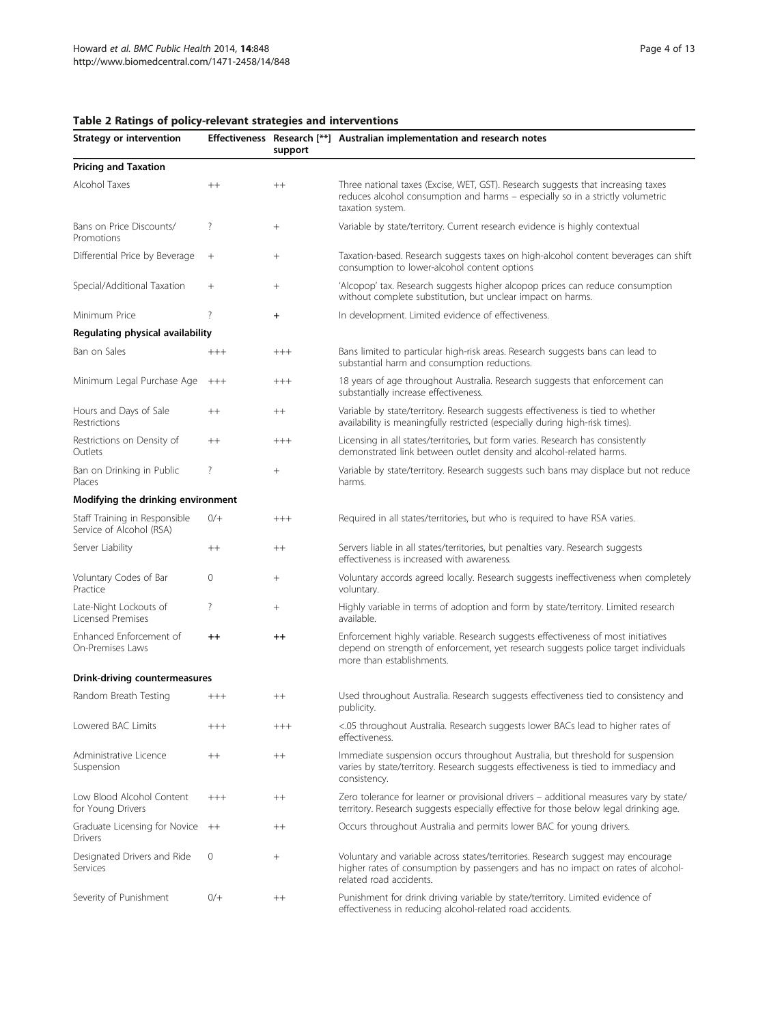<span id="page-3-0"></span>

| Table 2 Ratings of policy-relevant strategies and interventions |  |         |                                                       |  |  |  |
|-----------------------------------------------------------------|--|---------|-------------------------------------------------------|--|--|--|
| <b>Strategy or intervention</b>                                 |  | support | Effectiveness Research [**] Australian implementation |  |  |  |

| <b>Strategy or intervention</b>                           |                 | support         | Effectiveness Research [**] Australian implementation and research notes                                                                                                                            |
|-----------------------------------------------------------|-----------------|-----------------|-----------------------------------------------------------------------------------------------------------------------------------------------------------------------------------------------------|
| <b>Pricing and Taxation</b>                               |                 |                 |                                                                                                                                                                                                     |
| <b>Alcohol Taxes</b>                                      | $++$            | $++$            | Three national taxes (Excise, WET, GST). Research suggests that increasing taxes<br>reduces alcohol consumption and harms – especially so in a strictly volumetric<br>taxation system.              |
| Bans on Price Discounts/<br>Promotions                    | ?               | $^{+}$          | Variable by state/territory. Current research evidence is highly contextual                                                                                                                         |
| Differential Price by Beverage                            | $\! +$          | $\! + \!\!\!\!$ | Taxation-based. Research suggests taxes on high-alcohol content beverages can shift<br>consumption to lower-alcohol content options                                                                 |
| Special/Additional Taxation                               | $\! + \!\!\!\!$ | $^{+}$          | 'Alcopop' tax. Research suggests higher alcopop prices can reduce consumption<br>without complete substitution, but unclear impact on harms.                                                        |
| Minimum Price                                             | ?               | $\ddot{}$       | In development. Limited evidence of effectiveness.                                                                                                                                                  |
| Regulating physical availability                          |                 |                 |                                                                                                                                                                                                     |
| Ban on Sales                                              | $++++$          | $^{+++}$        | Bans limited to particular high-risk areas. Research suggests bans can lead to<br>substantial harm and consumption reductions.                                                                      |
| Minimum Legal Purchase Age                                | $+++$           | $+++$           | 18 years of age throughout Australia. Research suggests that enforcement can<br>substantially increase effectiveness.                                                                               |
| Hours and Days of Sale<br>Restrictions                    | $^{++}$         | $^{++}$         | Variable by state/territory. Research suggests effectiveness is tied to whether<br>availability is meaningfully restricted (especially during high-risk times).                                     |
| Restrictions on Density of<br>Outlets                     | $^{++}$         | $+++$           | Licensing in all states/territories, but form varies. Research has consistently<br>demonstrated link between outlet density and alcohol-related harms.                                              |
| Ban on Drinking in Public<br>Places                       | ?               | $^{+}$          | Variable by state/territory. Research suggests such bans may displace but not reduce<br>harms.                                                                                                      |
| Modifying the drinking environment                        |                 |                 |                                                                                                                                                                                                     |
| Staff Training in Responsible<br>Service of Alcohol (RSA) | $0/+$           | $++++$          | Required in all states/territories, but who is required to have RSA varies.                                                                                                                         |
| Server Liability                                          | $++$            | $++$            | Servers liable in all states/territories, but penalties vary. Research suggests<br>effectiveness is increased with awareness.                                                                       |
| Voluntary Codes of Bar<br>Practice                        | 0               | $^{+}$          | Voluntary accords agreed locally. Research suggests ineffectiveness when completely<br>voluntary.                                                                                                   |
| Late-Night Lockouts of<br>Licensed Premises               | ?               | $^{+}$          | Highly variable in terms of adoption and form by state/territory. Limited research<br>available.                                                                                                    |
| Enhanced Enforcement of<br>On-Premises Laws               | $++$            | $^{++}$         | Enforcement highly variable. Research suggests effectiveness of most initiatives<br>depend on strength of enforcement, yet research suggests police target individuals<br>more than establishments. |
| Drink-driving countermeasures                             |                 |                 |                                                                                                                                                                                                     |
| Random Breath Testing                                     | $++++$          | $++$            | Used throughout Australia. Research suggests effectiveness tied to consistency and<br>publicity.                                                                                                    |
| Lowered BAC Limits                                        | $+++$           | $^{+++}$        | <.05 throughout Australia. Research suggests lower BACs lead to higher rates of<br>effectiveness.                                                                                                   |
| Administrative Licence<br>Suspension                      | $^{++}$         | $^{++}$         | Immediate suspension occurs throughout Australia, but threshold for suspension<br>varies by state/territory. Research suggests effectiveness is tied to immediacy and<br>consistency.               |
| Low Blood Alcohol Content<br>for Young Drivers            | $+++$           | $^{++}$         | Zero tolerance for learner or provisional drivers - additional measures vary by state/<br>territory. Research suggests especially effective for those below legal drinking age.                     |
| Graduate Licensing for Novice $++$<br>Drivers             |                 | $^{++}$         | Occurs throughout Australia and permits lower BAC for young drivers.                                                                                                                                |
| Designated Drivers and Ride<br>Services                   | 0               | $\! + \!\!\!\!$ | Voluntary and variable across states/territories. Research suggest may encourage<br>higher rates of consumption by passengers and has no impact on rates of alcohol-<br>related road accidents.     |
| Severity of Punishment                                    | $0/+$           | $^{++}$         | Punishment for drink driving variable by state/territory. Limited evidence of<br>effectiveness in reducing alcohol-related road accidents.                                                          |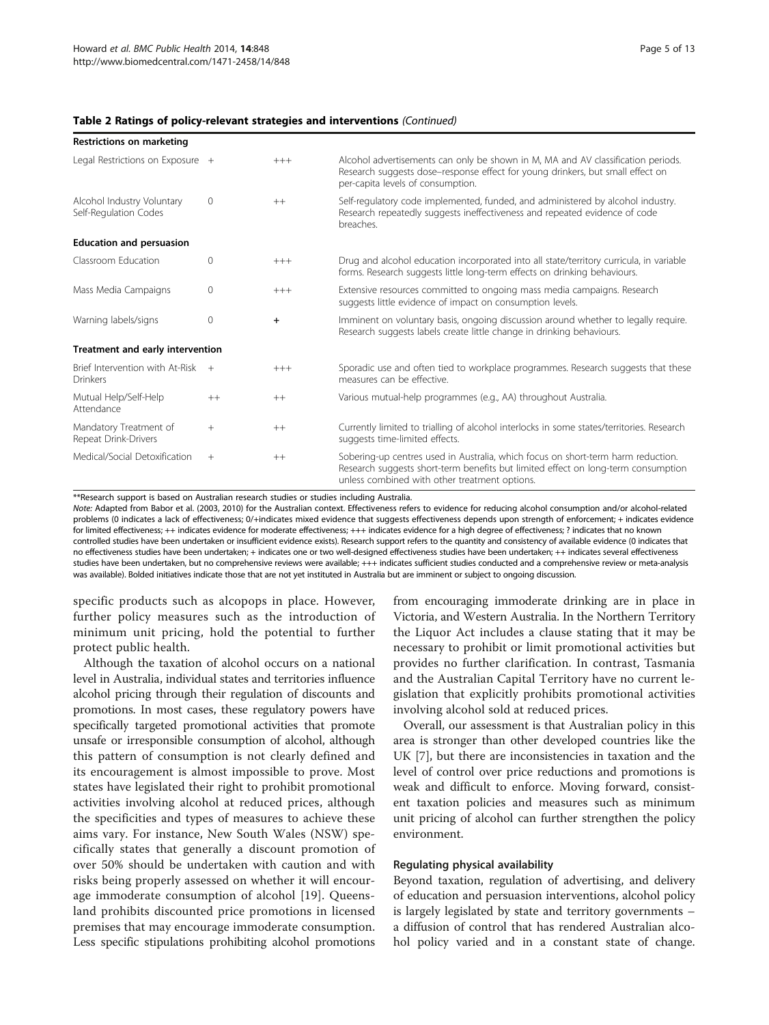#### Table 2 Ratings of policy-relevant strategies and interventions (Continued)

| <b>Restrictions on marketing</b>                    |             |           |                                                                                                                                                                                                                        |
|-----------------------------------------------------|-------------|-----------|------------------------------------------------------------------------------------------------------------------------------------------------------------------------------------------------------------------------|
| Legal Restrictions on Exposure +                    |             | $+++$     | Alcohol advertisements can only be shown in M, MA and AV classification periods.<br>Research suggests dose-response effect for young drinkers, but small effect on<br>per-capita levels of consumption.                |
| Alcohol Industry Voluntary<br>Self-Regulation Codes | $\mathbf 0$ | $++$      | Self-regulatory code implemented, funded, and administered by alcohol industry.<br>Research repeatedly suggests ineffectiveness and repeated evidence of code<br>breaches.                                             |
| <b>Education and persuasion</b>                     |             |           |                                                                                                                                                                                                                        |
| Classroom Education                                 | $\Omega$    | $+++$     | Drug and alcohol education incorporated into all state/territory curricula, in variable<br>forms. Research suggests little long-term effects on drinking behaviours.                                                   |
| Mass Media Campaigns                                | 0           | $+++$     | Extensive resources committed to ongoing mass media campaigns. Research<br>suggests little evidence of impact on consumption levels.                                                                                   |
| Warning labels/signs                                | $\mathbf 0$ | $\ddot{}$ | Imminent on voluntary basis, ongoing discussion around whether to legally require.<br>Research suggests labels create little change in drinking behaviours.                                                            |
| Treatment and early intervention                    |             |           |                                                                                                                                                                                                                        |
| Brief Intervention with At-Risk +<br>Drinkers       |             | $+++$     | Sporadic use and often tied to workplace programmes. Research suggests that these<br>measures can be effective.                                                                                                        |
| Mutual Help/Self-Help<br>Attendance                 | $++$        | $++$      | Various mutual-help programmes (e.g., AA) throughout Australia.                                                                                                                                                        |
| Mandatory Treatment of<br>Repeat Drink-Drivers      | $^{+}$      | $++$      | Currently limited to trialling of alcohol interlocks in some states/territories. Research<br>suggests time-limited effects.                                                                                            |
| Medical/Social Detoxification                       | $^{+}$      | $++$      | Sobering-up centres used in Australia, which focus on short-term harm reduction.<br>Research suggests short-term benefits but limited effect on long-term consumption<br>unless combined with other treatment options. |

\*\*Research support is based on Australian research studies or studies including Australia.

Note: Adapted from Babor et al. (2003, 2010) for the Australian context. Effectiveness refers to evidence for reducing alcohol consumption and/or alcohol-related problems (0 indicates a lack of effectiveness; 0/+indicates mixed evidence that suggests effectiveness depends upon strength of enforcement; + indicates evidence for limited effectiveness; ++ indicates evidence for moderate effectiveness; +++ indicates evidence for a high degree of effectiveness; ? indicates that no known controlled studies have been undertaken or insufficient evidence exists). Research support refers to the quantity and consistency of available evidence (0 indicates that no effectiveness studies have been undertaken; + indicates one or two well-designed effectiveness studies have been undertaken; ++ indicates several effectiveness studies have been undertaken, but no comprehensive reviews were available; +++ indicates sufficient studies conducted and a comprehensive review or meta-analysis was available). Bolded initiatives indicate those that are not yet instituted in Australia but are imminent or subject to ongoing discussion.

specific products such as alcopops in place. However, further policy measures such as the introduction of minimum unit pricing, hold the potential to further protect public health.

Although the taxation of alcohol occurs on a national level in Australia, individual states and territories influence alcohol pricing through their regulation of discounts and promotions. In most cases, these regulatory powers have specifically targeted promotional activities that promote unsafe or irresponsible consumption of alcohol, although this pattern of consumption is not clearly defined and its encouragement is almost impossible to prove. Most states have legislated their right to prohibit promotional activities involving alcohol at reduced prices, although the specificities and types of measures to achieve these aims vary. For instance, New South Wales (NSW) specifically states that generally a discount promotion of over 50% should be undertaken with caution and with risks being properly assessed on whether it will encourage immoderate consumption of alcohol [[19](#page-11-0)]. Queensland prohibits discounted price promotions in licensed premises that may encourage immoderate consumption. Less specific stipulations prohibiting alcohol promotions from encouraging immoderate drinking are in place in Victoria, and Western Australia. In the Northern Territory the Liquor Act includes a clause stating that it may be necessary to prohibit or limit promotional activities but provides no further clarification. In contrast, Tasmania and the Australian Capital Territory have no current legislation that explicitly prohibits promotional activities involving alcohol sold at reduced prices.

Overall, our assessment is that Australian policy in this area is stronger than other developed countries like the UK [[7\]](#page-11-0), but there are inconsistencies in taxation and the level of control over price reductions and promotions is weak and difficult to enforce. Moving forward, consistent taxation policies and measures such as minimum unit pricing of alcohol can further strengthen the policy environment.

#### Regulating physical availability

Beyond taxation, regulation of advertising, and delivery of education and persuasion interventions, alcohol policy is largely legislated by state and territory governments – a diffusion of control that has rendered Australian alcohol policy varied and in a constant state of change.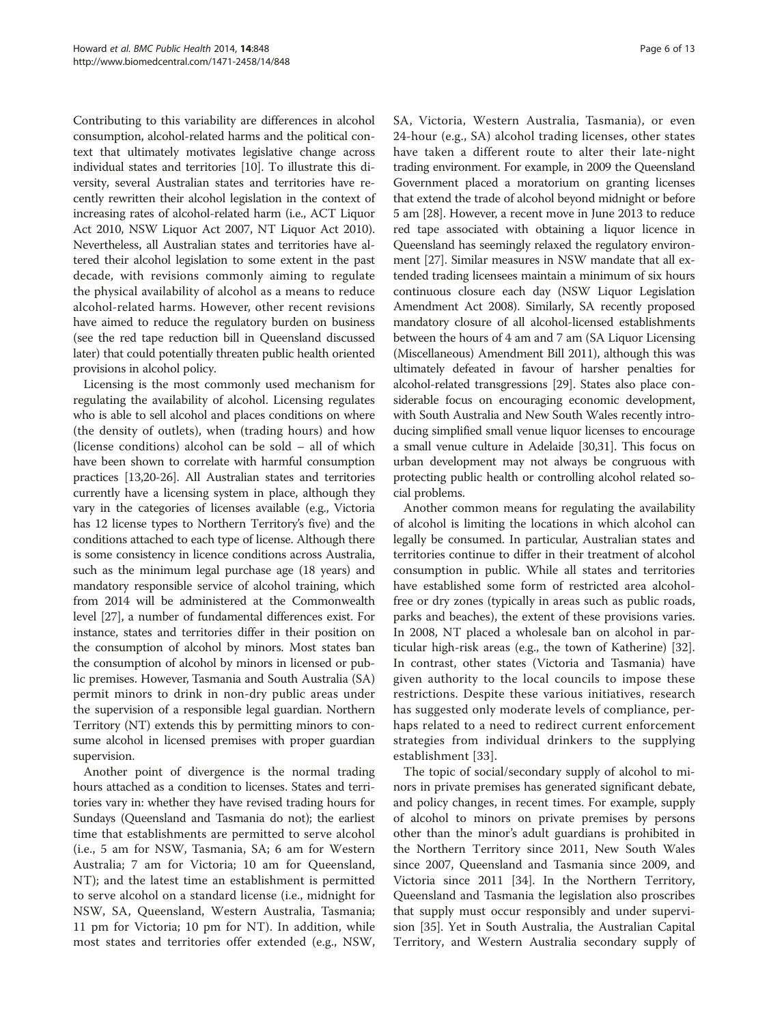Contributing to this variability are differences in alcohol consumption, alcohol-related harms and the political context that ultimately motivates legislative change across individual states and territories [[10](#page-11-0)]. To illustrate this diversity, several Australian states and territories have recently rewritten their alcohol legislation in the context of increasing rates of alcohol-related harm (i.e., ACT Liquor Act 2010, NSW Liquor Act 2007, NT Liquor Act 2010). Nevertheless, all Australian states and territories have altered their alcohol legislation to some extent in the past decade, with revisions commonly aiming to regulate the physical availability of alcohol as a means to reduce alcohol-related harms. However, other recent revisions have aimed to reduce the regulatory burden on business (see the red tape reduction bill in Queensland discussed later) that could potentially threaten public health oriented provisions in alcohol policy.

Licensing is the most commonly used mechanism for regulating the availability of alcohol. Licensing regulates who is able to sell alcohol and places conditions on where (the density of outlets), when (trading hours) and how (license conditions) alcohol can be sold – all of which have been shown to correlate with harmful consumption practices [\[13,20-26\]](#page-11-0). All Australian states and territories currently have a licensing system in place, although they vary in the categories of licenses available (e.g., Victoria has 12 license types to Northern Territory's five) and the conditions attached to each type of license. Although there is some consistency in licence conditions across Australia, such as the minimum legal purchase age (18 years) and mandatory responsible service of alcohol training, which from 2014 will be administered at the Commonwealth level [\[27\]](#page-11-0), a number of fundamental differences exist. For instance, states and territories differ in their position on the consumption of alcohol by minors. Most states ban the consumption of alcohol by minors in licensed or public premises. However, Tasmania and South Australia (SA) permit minors to drink in non-dry public areas under the supervision of a responsible legal guardian. Northern Territory (NT) extends this by permitting minors to consume alcohol in licensed premises with proper guardian supervision.

Another point of divergence is the normal trading hours attached as a condition to licenses. States and territories vary in: whether they have revised trading hours for Sundays (Queensland and Tasmania do not); the earliest time that establishments are permitted to serve alcohol (i.e., 5 am for NSW, Tasmania, SA; 6 am for Western Australia; 7 am for Victoria; 10 am for Queensland, NT); and the latest time an establishment is permitted to serve alcohol on a standard license (i.e., midnight for NSW, SA, Queensland, Western Australia, Tasmania; 11 pm for Victoria; 10 pm for NT). In addition, while most states and territories offer extended (e.g., NSW,

SA, Victoria, Western Australia, Tasmania), or even 24-hour (e.g., SA) alcohol trading licenses, other states have taken a different route to alter their late-night trading environment. For example, in 2009 the Queensland Government placed a moratorium on granting licenses that extend the trade of alcohol beyond midnight or before 5 am [[28](#page-11-0)]. However, a recent move in June 2013 to reduce red tape associated with obtaining a liquor licence in Queensland has seemingly relaxed the regulatory environment [[27](#page-11-0)]. Similar measures in NSW mandate that all extended trading licensees maintain a minimum of six hours continuous closure each day (NSW Liquor Legislation Amendment Act 2008). Similarly, SA recently proposed mandatory closure of all alcohol-licensed establishments between the hours of 4 am and 7 am (SA Liquor Licensing (Miscellaneous) Amendment Bill 2011), although this was ultimately defeated in favour of harsher penalties for alcohol-related transgressions [\[29\]](#page-11-0). States also place considerable focus on encouraging economic development, with South Australia and New South Wales recently introducing simplified small venue liquor licenses to encourage a small venue culture in Adelaide [\[30,31\]](#page-11-0). This focus on urban development may not always be congruous with protecting public health or controlling alcohol related social problems.

Another common means for regulating the availability of alcohol is limiting the locations in which alcohol can legally be consumed. In particular, Australian states and territories continue to differ in their treatment of alcohol consumption in public. While all states and territories have established some form of restricted area alcoholfree or dry zones (typically in areas such as public roads, parks and beaches), the extent of these provisions varies. In 2008, NT placed a wholesale ban on alcohol in particular high-risk areas (e.g., the town of Katherine) [\[32](#page-11-0)]. In contrast, other states (Victoria and Tasmania) have given authority to the local councils to impose these restrictions. Despite these various initiatives, research has suggested only moderate levels of compliance, perhaps related to a need to redirect current enforcement strategies from individual drinkers to the supplying establishment [\[33\]](#page-11-0).

The topic of social/secondary supply of alcohol to minors in private premises has generated significant debate, and policy changes, in recent times. For example, supply of alcohol to minors on private premises by persons other than the minor's adult guardians is prohibited in the Northern Territory since 2011, New South Wales since 2007, Queensland and Tasmania since 2009, and Victoria since 2011 [\[34](#page-11-0)]. In the Northern Territory, Queensland and Tasmania the legislation also proscribes that supply must occur responsibly and under supervision [\[35](#page-11-0)]. Yet in South Australia, the Australian Capital Territory, and Western Australia secondary supply of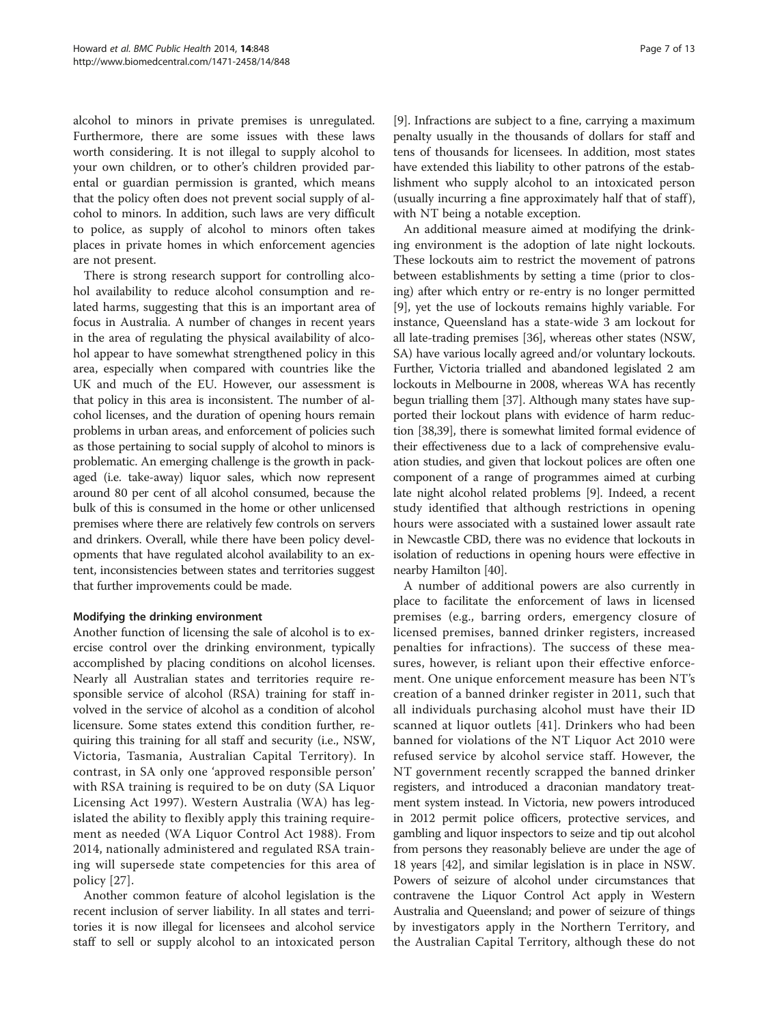alcohol to minors in private premises is unregulated. Furthermore, there are some issues with these laws worth considering. It is not illegal to supply alcohol to your own children, or to other's children provided parental or guardian permission is granted, which means that the policy often does not prevent social supply of alcohol to minors. In addition, such laws are very difficult to police, as supply of alcohol to minors often takes places in private homes in which enforcement agencies are not present.

There is strong research support for controlling alcohol availability to reduce alcohol consumption and related harms, suggesting that this is an important area of focus in Australia. A number of changes in recent years in the area of regulating the physical availability of alcohol appear to have somewhat strengthened policy in this area, especially when compared with countries like the UK and much of the EU. However, our assessment is that policy in this area is inconsistent. The number of alcohol licenses, and the duration of opening hours remain problems in urban areas, and enforcement of policies such as those pertaining to social supply of alcohol to minors is problematic. An emerging challenge is the growth in packaged (i.e. take-away) liquor sales, which now represent around 80 per cent of all alcohol consumed, because the bulk of this is consumed in the home or other unlicensed premises where there are relatively few controls on servers and drinkers. Overall, while there have been policy developments that have regulated alcohol availability to an extent, inconsistencies between states and territories suggest that further improvements could be made.

# Modifying the drinking environment

Another function of licensing the sale of alcohol is to exercise control over the drinking environment, typically accomplished by placing conditions on alcohol licenses. Nearly all Australian states and territories require responsible service of alcohol (RSA) training for staff involved in the service of alcohol as a condition of alcohol licensure. Some states extend this condition further, requiring this training for all staff and security (i.e., NSW, Victoria, Tasmania, Australian Capital Territory). In contrast, in SA only one 'approved responsible person' with RSA training is required to be on duty (SA Liquor Licensing Act 1997). Western Australia (WA) has legislated the ability to flexibly apply this training requirement as needed (WA Liquor Control Act 1988). From 2014, nationally administered and regulated RSA training will supersede state competencies for this area of policy [[27](#page-11-0)].

Another common feature of alcohol legislation is the recent inclusion of server liability. In all states and territories it is now illegal for licensees and alcohol service staff to sell or supply alcohol to an intoxicated person

[[9\]](#page-11-0). Infractions are subject to a fine, carrying a maximum penalty usually in the thousands of dollars for staff and tens of thousands for licensees. In addition, most states have extended this liability to other patrons of the establishment who supply alcohol to an intoxicated person (usually incurring a fine approximately half that of staff ), with NT being a notable exception.

An additional measure aimed at modifying the drinking environment is the adoption of late night lockouts. These lockouts aim to restrict the movement of patrons between establishments by setting a time (prior to closing) after which entry or re-entry is no longer permitted [[9\]](#page-11-0), yet the use of lockouts remains highly variable. For instance, Queensland has a state-wide 3 am lockout for all late-trading premises [\[36\]](#page-11-0), whereas other states (NSW, SA) have various locally agreed and/or voluntary lockouts. Further, Victoria trialled and abandoned legislated 2 am lockouts in Melbourne in 2008, whereas WA has recently begun trialling them [\[37\]](#page-11-0). Although many states have supported their lockout plans with evidence of harm reduction [[38,39](#page-11-0)], there is somewhat limited formal evidence of their effectiveness due to a lack of comprehensive evaluation studies, and given that lockout polices are often one component of a range of programmes aimed at curbing late night alcohol related problems [\[9\]](#page-11-0). Indeed, a recent study identified that although restrictions in opening hours were associated with a sustained lower assault rate in Newcastle CBD, there was no evidence that lockouts in isolation of reductions in opening hours were effective in nearby Hamilton [\[40\]](#page-11-0).

A number of additional powers are also currently in place to facilitate the enforcement of laws in licensed premises (e.g., barring orders, emergency closure of licensed premises, banned drinker registers, increased penalties for infractions). The success of these measures, however, is reliant upon their effective enforcement. One unique enforcement measure has been NT's creation of a banned drinker register in 2011, such that all individuals purchasing alcohol must have their ID scanned at liquor outlets [[41\]](#page-11-0). Drinkers who had been banned for violations of the NT Liquor Act 2010 were refused service by alcohol service staff. However, the NT government recently scrapped the banned drinker registers, and introduced a draconian mandatory treatment system instead. In Victoria, new powers introduced in 2012 permit police officers, protective services, and gambling and liquor inspectors to seize and tip out alcohol from persons they reasonably believe are under the age of 18 years [\[42\]](#page-11-0), and similar legislation is in place in NSW. Powers of seizure of alcohol under circumstances that contravene the Liquor Control Act apply in Western Australia and Queensland; and power of seizure of things by investigators apply in the Northern Territory, and the Australian Capital Territory, although these do not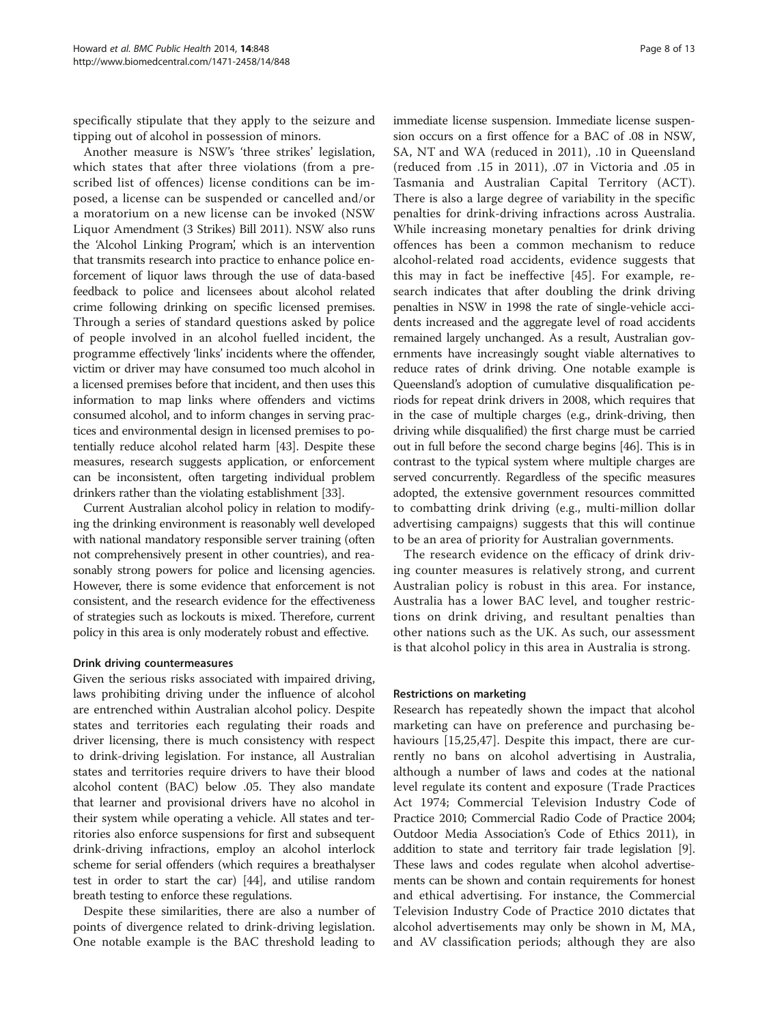specifically stipulate that they apply to the seizure and tipping out of alcohol in possession of minors.

Another measure is NSW's 'three strikes' legislation, which states that after three violations (from a prescribed list of offences) license conditions can be imposed, a license can be suspended or cancelled and/or a moratorium on a new license can be invoked (NSW Liquor Amendment (3 Strikes) Bill 2011). NSW also runs the 'Alcohol Linking Program', which is an intervention that transmits research into practice to enhance police enforcement of liquor laws through the use of data-based feedback to police and licensees about alcohol related crime following drinking on specific licensed premises. Through a series of standard questions asked by police of people involved in an alcohol fuelled incident, the programme effectively 'links' incidents where the offender, victim or driver may have consumed too much alcohol in a licensed premises before that incident, and then uses this information to map links where offenders and victims consumed alcohol, and to inform changes in serving practices and environmental design in licensed premises to potentially reduce alcohol related harm [[43](#page-11-0)]. Despite these measures, research suggests application, or enforcement can be inconsistent, often targeting individual problem drinkers rather than the violating establishment [\[33\]](#page-11-0).

Current Australian alcohol policy in relation to modifying the drinking environment is reasonably well developed with national mandatory responsible server training (often not comprehensively present in other countries), and reasonably strong powers for police and licensing agencies. However, there is some evidence that enforcement is not consistent, and the research evidence for the effectiveness of strategies such as lockouts is mixed. Therefore, current policy in this area is only moderately robust and effective.

#### Drink driving countermeasures

Given the serious risks associated with impaired driving, laws prohibiting driving under the influence of alcohol are entrenched within Australian alcohol policy. Despite states and territories each regulating their roads and driver licensing, there is much consistency with respect to drink-driving legislation. For instance, all Australian states and territories require drivers to have their blood alcohol content (BAC) below .05. They also mandate that learner and provisional drivers have no alcohol in their system while operating a vehicle. All states and territories also enforce suspensions for first and subsequent drink-driving infractions, employ an alcohol interlock scheme for serial offenders (which requires a breathalyser test in order to start the car) [\[44\]](#page-12-0), and utilise random breath testing to enforce these regulations.

Despite these similarities, there are also a number of points of divergence related to drink-driving legislation. One notable example is the BAC threshold leading to immediate license suspension. Immediate license suspension occurs on a first offence for a BAC of .08 in NSW, SA, NT and WA (reduced in 2011), .10 in Queensland (reduced from .15 in 2011), .07 in Victoria and .05 in Tasmania and Australian Capital Territory (ACT). There is also a large degree of variability in the specific penalties for drink-driving infractions across Australia. While increasing monetary penalties for drink driving offences has been a common mechanism to reduce alcohol-related road accidents, evidence suggests that this may in fact be ineffective [\[45](#page-12-0)]. For example, research indicates that after doubling the drink driving penalties in NSW in 1998 the rate of single-vehicle accidents increased and the aggregate level of road accidents remained largely unchanged. As a result, Australian governments have increasingly sought viable alternatives to reduce rates of drink driving. One notable example is Queensland's adoption of cumulative disqualification periods for repeat drink drivers in 2008, which requires that in the case of multiple charges (e.g., drink-driving, then driving while disqualified) the first charge must be carried out in full before the second charge begins [\[46\]](#page-12-0). This is in contrast to the typical system where multiple charges are served concurrently. Regardless of the specific measures adopted, the extensive government resources committed to combatting drink driving (e.g., multi-million dollar advertising campaigns) suggests that this will continue to be an area of priority for Australian governments.

The research evidence on the efficacy of drink driving counter measures is relatively strong, and current Australian policy is robust in this area. For instance, Australia has a lower BAC level, and tougher restrictions on drink driving, and resultant penalties than other nations such as the UK. As such, our assessment is that alcohol policy in this area in Australia is strong.

#### Restrictions on marketing

Research has repeatedly shown the impact that alcohol marketing can have on preference and purchasing behaviours [\[15,25](#page-11-0),[47\]](#page-12-0). Despite this impact, there are currently no bans on alcohol advertising in Australia, although a number of laws and codes at the national level regulate its content and exposure (Trade Practices Act 1974; Commercial Television Industry Code of Practice 2010; Commercial Radio Code of Practice 2004; Outdoor Media Association's Code of Ethics 2011), in addition to state and territory fair trade legislation [[9](#page-11-0)]. These laws and codes regulate when alcohol advertisements can be shown and contain requirements for honest and ethical advertising. For instance, the Commercial Television Industry Code of Practice 2010 dictates that alcohol advertisements may only be shown in M, MA, and AV classification periods; although they are also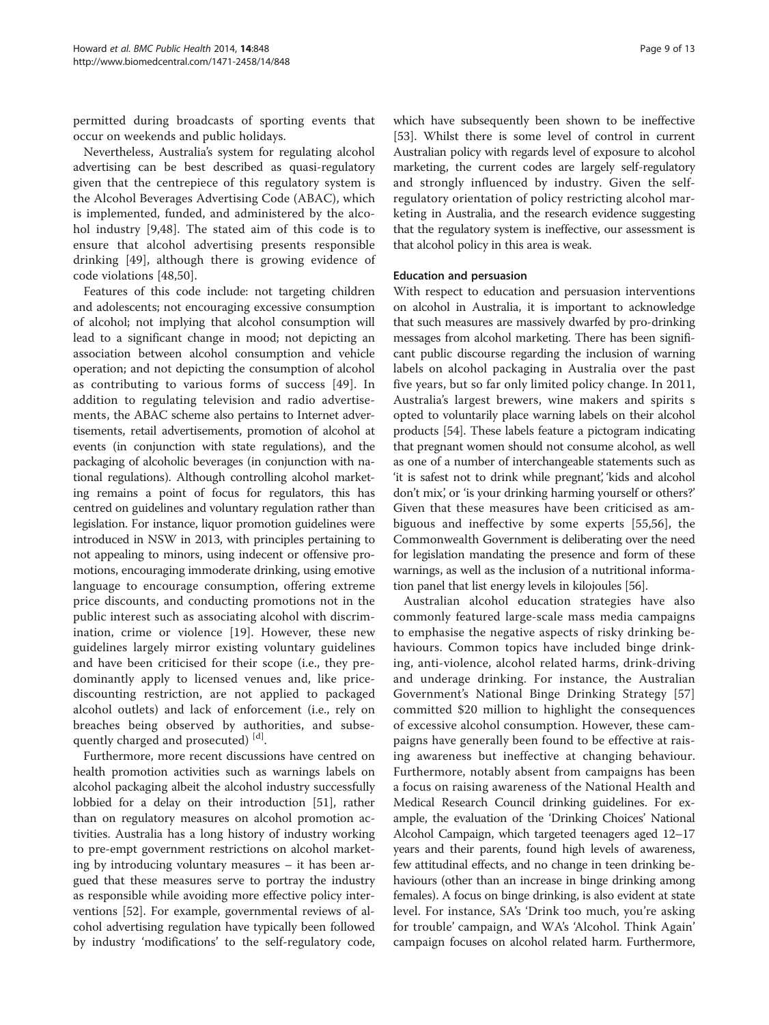permitted during broadcasts of sporting events that occur on weekends and public holidays.

Nevertheless, Australia's system for regulating alcohol advertising can be best described as quasi-regulatory given that the centrepiece of this regulatory system is the Alcohol Beverages Advertising Code (ABAC), which is implemented, funded, and administered by the alcohol industry [[9,](#page-11-0)[48](#page-12-0)]. The stated aim of this code is to ensure that alcohol advertising presents responsible drinking [[49\]](#page-12-0), although there is growing evidence of code violations [[48,50](#page-12-0)].

Features of this code include: not targeting children and adolescents; not encouraging excessive consumption of alcohol; not implying that alcohol consumption will lead to a significant change in mood; not depicting an association between alcohol consumption and vehicle operation; and not depicting the consumption of alcohol as contributing to various forms of success [[49\]](#page-12-0). In addition to regulating television and radio advertisements, the ABAC scheme also pertains to Internet advertisements, retail advertisements, promotion of alcohol at events (in conjunction with state regulations), and the packaging of alcoholic beverages (in conjunction with national regulations). Although controlling alcohol marketing remains a point of focus for regulators, this has centred on guidelines and voluntary regulation rather than legislation. For instance, liquor promotion guidelines were introduced in NSW in 2013, with principles pertaining to not appealing to minors, using indecent or offensive promotions, encouraging immoderate drinking, using emotive language to encourage consumption, offering extreme price discounts, and conducting promotions not in the public interest such as associating alcohol with discrimination, crime or violence [[19](#page-11-0)]. However, these new guidelines largely mirror existing voluntary guidelines and have been criticised for their scope (i.e., they predominantly apply to licensed venues and, like pricediscounting restriction, are not applied to packaged alcohol outlets) and lack of enforcement (i.e., rely on breaches being observed by authorities, and subsequently charged and prosecuted) [d].

Furthermore, more recent discussions have centred on health promotion activities such as warnings labels on alcohol packaging albeit the alcohol industry successfully lobbied for a delay on their introduction [\[51](#page-12-0)], rather than on regulatory measures on alcohol promotion activities. Australia has a long history of industry working to pre-empt government restrictions on alcohol marketing by introducing voluntary measures – it has been argued that these measures serve to portray the industry as responsible while avoiding more effective policy interventions [\[52\]](#page-12-0). For example, governmental reviews of alcohol advertising regulation have typically been followed by industry 'modifications' to the self-regulatory code,

which have subsequently been shown to be ineffective [[53\]](#page-12-0). Whilst there is some level of control in current Australian policy with regards level of exposure to alcohol marketing, the current codes are largely self-regulatory and strongly influenced by industry. Given the selfregulatory orientation of policy restricting alcohol marketing in Australia, and the research evidence suggesting that the regulatory system is ineffective, our assessment is that alcohol policy in this area is weak.

### Education and persuasion

With respect to education and persuasion interventions on alcohol in Australia, it is important to acknowledge that such measures are massively dwarfed by pro-drinking messages from alcohol marketing. There has been significant public discourse regarding the inclusion of warning labels on alcohol packaging in Australia over the past five years, but so far only limited policy change. In 2011, Australia's largest brewers, wine makers and spirits s opted to voluntarily place warning labels on their alcohol products [\[54\]](#page-12-0). These labels feature a pictogram indicating that pregnant women should not consume alcohol, as well as one of a number of interchangeable statements such as 'it is safest not to drink while pregnant', 'kids and alcohol don't mix', or 'is your drinking harming yourself or others?' Given that these measures have been criticised as ambiguous and ineffective by some experts [\[55](#page-12-0),[56\]](#page-12-0), the Commonwealth Government is deliberating over the need for legislation mandating the presence and form of these warnings, as well as the inclusion of a nutritional information panel that list energy levels in kilojoules [\[56\]](#page-12-0).

Australian alcohol education strategies have also commonly featured large-scale mass media campaigns to emphasise the negative aspects of risky drinking behaviours. Common topics have included binge drinking, anti-violence, alcohol related harms, drink-driving and underage drinking. For instance, the Australian Government's National Binge Drinking Strategy [\[57](#page-12-0)] committed \$20 million to highlight the consequences of excessive alcohol consumption. However, these campaigns have generally been found to be effective at raising awareness but ineffective at changing behaviour. Furthermore, notably absent from campaigns has been a focus on raising awareness of the National Health and Medical Research Council drinking guidelines. For example, the evaluation of the 'Drinking Choices' National Alcohol Campaign, which targeted teenagers aged 12–17 years and their parents, found high levels of awareness, few attitudinal effects, and no change in teen drinking behaviours (other than an increase in binge drinking among females). A focus on binge drinking, is also evident at state level. For instance, SA's 'Drink too much, you're asking for trouble' campaign, and WA's 'Alcohol. Think Again' campaign focuses on alcohol related harm. Furthermore,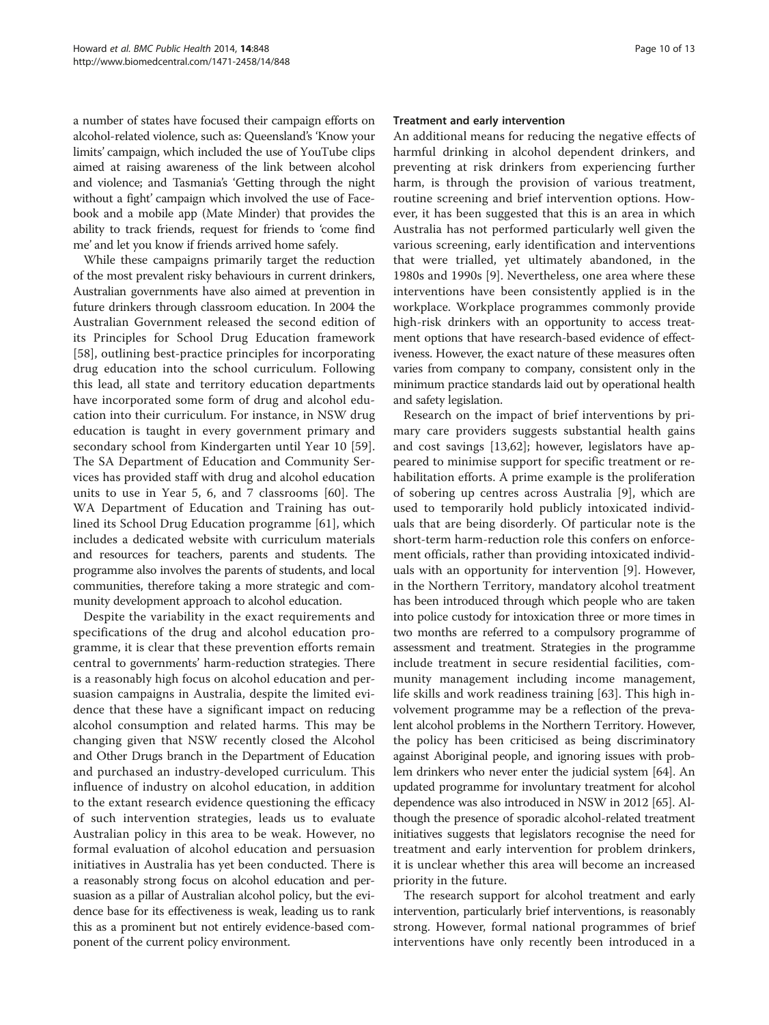a number of states have focused their campaign efforts on alcohol-related violence, such as: Queensland's 'Know your limits' campaign, which included the use of YouTube clips aimed at raising awareness of the link between alcohol and violence; and Tasmania's 'Getting through the night without a fight' campaign which involved the use of Facebook and a mobile app (Mate Minder) that provides the ability to track friends, request for friends to 'come find me' and let you know if friends arrived home safely.

While these campaigns primarily target the reduction of the most prevalent risky behaviours in current drinkers, Australian governments have also aimed at prevention in future drinkers through classroom education. In 2004 the Australian Government released the second edition of its Principles for School Drug Education framework [[58\]](#page-12-0), outlining best-practice principles for incorporating drug education into the school curriculum. Following this lead, all state and territory education departments have incorporated some form of drug and alcohol education into their curriculum. For instance, in NSW drug education is taught in every government primary and secondary school from Kindergarten until Year 10 [\[59](#page-12-0)]. The SA Department of Education and Community Services has provided staff with drug and alcohol education units to use in Year 5, 6, and 7 classrooms [\[60](#page-12-0)]. The WA Department of Education and Training has outlined its School Drug Education programme [\[61](#page-12-0)], which includes a dedicated website with curriculum materials and resources for teachers, parents and students. The programme also involves the parents of students, and local communities, therefore taking a more strategic and community development approach to alcohol education.

Despite the variability in the exact requirements and specifications of the drug and alcohol education programme, it is clear that these prevention efforts remain central to governments' harm-reduction strategies. There is a reasonably high focus on alcohol education and persuasion campaigns in Australia, despite the limited evidence that these have a significant impact on reducing alcohol consumption and related harms. This may be changing given that NSW recently closed the Alcohol and Other Drugs branch in the Department of Education and purchased an industry-developed curriculum. This influence of industry on alcohol education, in addition to the extant research evidence questioning the efficacy of such intervention strategies, leads us to evaluate Australian policy in this area to be weak. However, no formal evaluation of alcohol education and persuasion initiatives in Australia has yet been conducted. There is a reasonably strong focus on alcohol education and persuasion as a pillar of Australian alcohol policy, but the evidence base for its effectiveness is weak, leading us to rank this as a prominent but not entirely evidence-based component of the current policy environment.

#### Treatment and early intervention

An additional means for reducing the negative effects of harmful drinking in alcohol dependent drinkers, and preventing at risk drinkers from experiencing further harm, is through the provision of various treatment, routine screening and brief intervention options. However, it has been suggested that this is an area in which Australia has not performed particularly well given the various screening, early identification and interventions that were trialled, yet ultimately abandoned, in the 1980s and 1990s [[9](#page-11-0)]. Nevertheless, one area where these interventions have been consistently applied is in the workplace. Workplace programmes commonly provide high-risk drinkers with an opportunity to access treatment options that have research-based evidence of effectiveness. However, the exact nature of these measures often varies from company to company, consistent only in the minimum practice standards laid out by operational health and safety legislation.

Research on the impact of brief interventions by primary care providers suggests substantial health gains and cost savings [[13](#page-11-0)[,62](#page-12-0)]; however, legislators have appeared to minimise support for specific treatment or rehabilitation efforts. A prime example is the proliferation of sobering up centres across Australia [[9\]](#page-11-0), which are used to temporarily hold publicly intoxicated individuals that are being disorderly. Of particular note is the short-term harm-reduction role this confers on enforcement officials, rather than providing intoxicated individuals with an opportunity for intervention [[9\]](#page-11-0). However, in the Northern Territory, mandatory alcohol treatment has been introduced through which people who are taken into police custody for intoxication three or more times in two months are referred to a compulsory programme of assessment and treatment. Strategies in the programme include treatment in secure residential facilities, community management including income management, life skills and work readiness training [[63](#page-12-0)]. This high involvement programme may be a reflection of the prevalent alcohol problems in the Northern Territory. However, the policy has been criticised as being discriminatory against Aboriginal people, and ignoring issues with problem drinkers who never enter the judicial system [\[64](#page-12-0)]. An updated programme for involuntary treatment for alcohol dependence was also introduced in NSW in 2012 [\[65\]](#page-12-0). Although the presence of sporadic alcohol-related treatment initiatives suggests that legislators recognise the need for treatment and early intervention for problem drinkers, it is unclear whether this area will become an increased priority in the future.

The research support for alcohol treatment and early intervention, particularly brief interventions, is reasonably strong. However, formal national programmes of brief interventions have only recently been introduced in a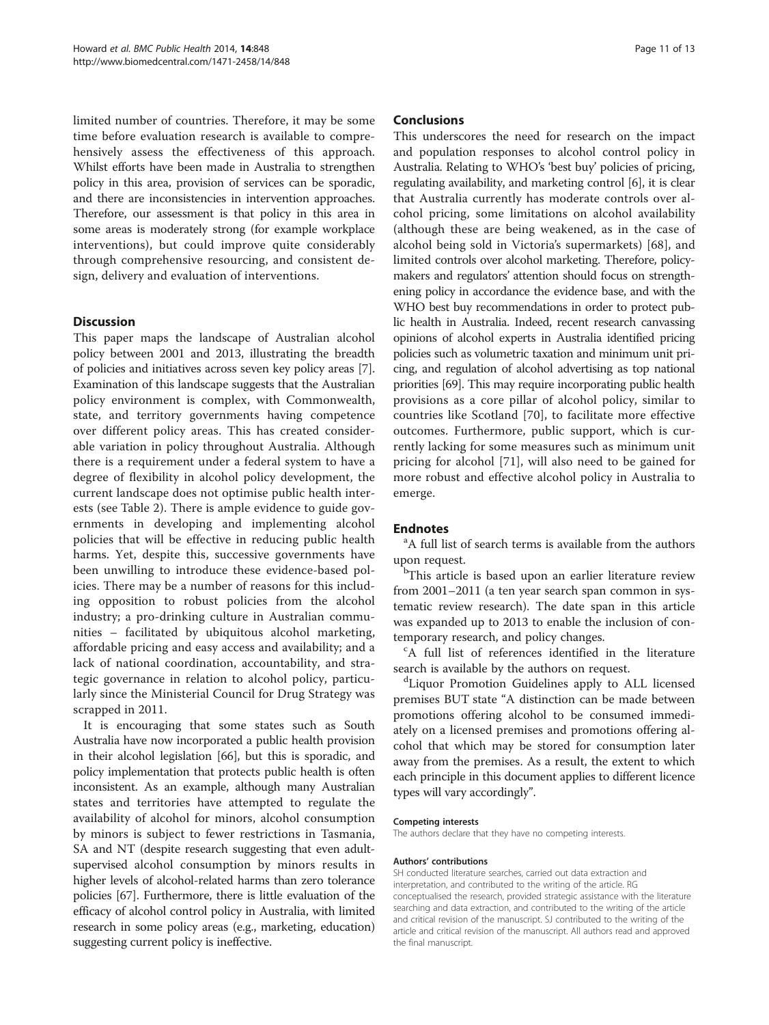limited number of countries. Therefore, it may be some time before evaluation research is available to comprehensively assess the effectiveness of this approach. Whilst efforts have been made in Australia to strengthen policy in this area, provision of services can be sporadic, and there are inconsistencies in intervention approaches. Therefore, our assessment is that policy in this area in some areas is moderately strong (for example workplace interventions), but could improve quite considerably through comprehensive resourcing, and consistent design, delivery and evaluation of interventions.

# **Discussion**

This paper maps the landscape of Australian alcohol policy between 2001 and 2013, illustrating the breadth of policies and initiatives across seven key policy areas [[7](#page-11-0)]. Examination of this landscape suggests that the Australian policy environment is complex, with Commonwealth, state, and territory governments having competence over different policy areas. This has created considerable variation in policy throughout Australia. Although there is a requirement under a federal system to have a degree of flexibility in alcohol policy development, the current landscape does not optimise public health interests (see Table [2\)](#page-3-0). There is ample evidence to guide governments in developing and implementing alcohol policies that will be effective in reducing public health harms. Yet, despite this, successive governments have been unwilling to introduce these evidence-based policies. There may be a number of reasons for this including opposition to robust policies from the alcohol industry; a pro-drinking culture in Australian communities – facilitated by ubiquitous alcohol marketing, affordable pricing and easy access and availability; and a lack of national coordination, accountability, and strategic governance in relation to alcohol policy, particularly since the Ministerial Council for Drug Strategy was scrapped in 2011.

It is encouraging that some states such as South Australia have now incorporated a public health provision in their alcohol legislation [\[66\]](#page-12-0), but this is sporadic, and policy implementation that protects public health is often inconsistent. As an example, although many Australian states and territories have attempted to regulate the availability of alcohol for minors, alcohol consumption by minors is subject to fewer restrictions in Tasmania, SA and NT (despite research suggesting that even adultsupervised alcohol consumption by minors results in higher levels of alcohol-related harms than zero tolerance policies [\[67\]](#page-12-0). Furthermore, there is little evaluation of the efficacy of alcohol control policy in Australia, with limited research in some policy areas (e.g., marketing, education) suggesting current policy is ineffective.

#### Conclusions

This underscores the need for research on the impact and population responses to alcohol control policy in Australia. Relating to WHO's 'best buy' policies of pricing, regulating availability, and marketing control [[6](#page-11-0)], it is clear that Australia currently has moderate controls over alcohol pricing, some limitations on alcohol availability (although these are being weakened, as in the case of alcohol being sold in Victoria's supermarkets) [\[68](#page-12-0)], and limited controls over alcohol marketing. Therefore, policymakers and regulators' attention should focus on strengthening policy in accordance the evidence base, and with the WHO best buy recommendations in order to protect public health in Australia. Indeed, recent research canvassing opinions of alcohol experts in Australia identified pricing policies such as volumetric taxation and minimum unit pricing, and regulation of alcohol advertising as top national priorities [\[69\]](#page-12-0). This may require incorporating public health provisions as a core pillar of alcohol policy, similar to countries like Scotland [[70\]](#page-12-0), to facilitate more effective outcomes. Furthermore, public support, which is currently lacking for some measures such as minimum unit pricing for alcohol [[71](#page-12-0)], will also need to be gained for more robust and effective alcohol policy in Australia to emerge.

#### **Endnotes**

<sup>a</sup>A full list of search terms is available from the authors upon request.

<sup>b</sup>This article is based upon an earlier literature review from 2001–2011 (a ten year search span common in systematic review research). The date span in this article was expanded up to 2013 to enable the inclusion of contemporary research, and policy changes.

A full list of references identified in the literature search is available by the authors on request.

<sup>d</sup>Liquor Promotion Guidelines apply to ALL licensed premises BUT state "A distinction can be made between promotions offering alcohol to be consumed immediately on a licensed premises and promotions offering alcohol that which may be stored for consumption later away from the premises. As a result, the extent to which each principle in this document applies to different licence types will vary accordingly".

#### Competing interests

The authors declare that they have no competing interests.

#### Authors' contributions

SH conducted literature searches, carried out data extraction and interpretation, and contributed to the writing of the article. RG conceptualised the research, provided strategic assistance with the literature searching and data extraction, and contributed to the writing of the article and critical revision of the manuscript. SJ contributed to the writing of the article and critical revision of the manuscript. All authors read and approved the final manuscript.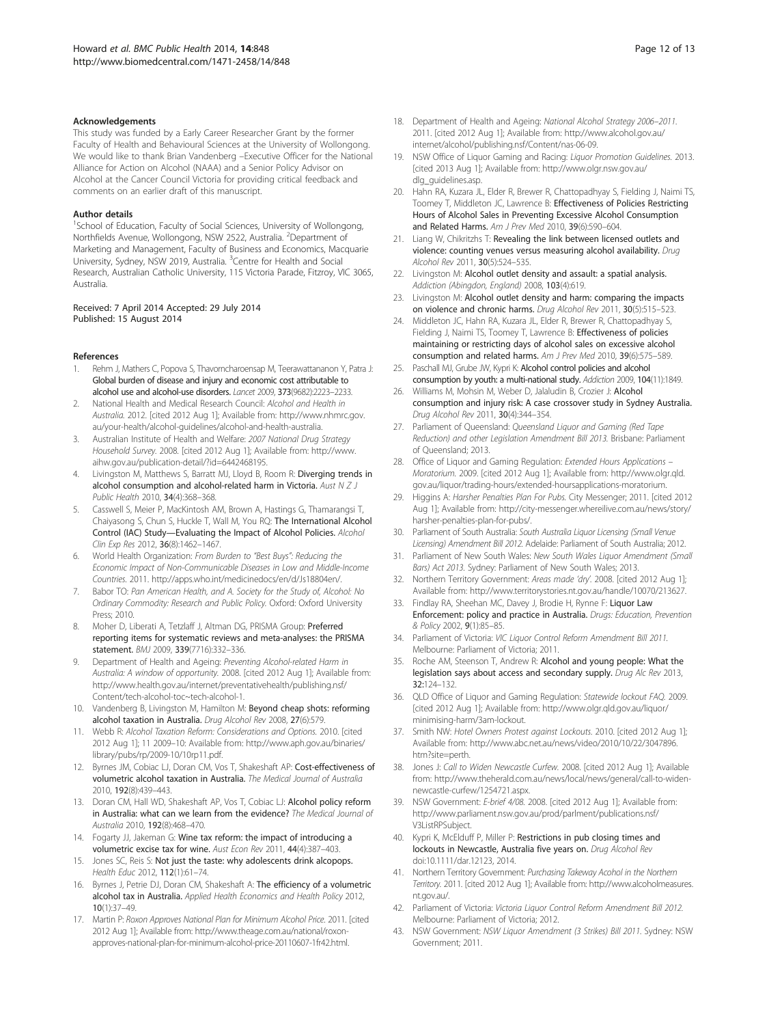#### <span id="page-11-0"></span>Acknowledgements

This study was funded by a Early Career Researcher Grant by the former Faculty of Health and Behavioural Sciences at the University of Wollongong. We would like to thank Brian Vandenberg –Executive Officer for the National Alliance for Action on Alcohol (NAAA) and a Senior Policy Advisor on Alcohol at the Cancer Council Victoria for providing critical feedback and comments on an earlier draft of this manuscript.

#### Author details

<sup>1</sup>School of Education, Faculty of Social Sciences, University of Wollongong, Northfields Avenue, Wollongong, NSW 2522, Australia. <sup>2</sup>Department of Marketing and Management, Faculty of Business and Economics, Macquarie University, Sydney, NSW 2019, Australia. <sup>3</sup>Centre for Health and Social Research, Australian Catholic University, 115 Victoria Parade, Fitzroy, VIC 3065, Australia.

#### Received: 7 April 2014 Accepted: 29 July 2014 Published: 15 August 2014

#### References

- 1. Rehm J, Mathers C, Popova S, Thavorncharoensap M, Teerawattananon Y, Patra J: Global burden of disease and injury and economic cost attributable to alcohol use and alcohol-use disorders. Lancet 2009, 373(9682):2223–2233.
- 2. National Health and Medical Research Council: Alcohol and Health in Australia. 2012. [cited 2012 Aug 1]; Available from: [http://www.nhmrc.gov.](http://www.nhmrc.gov.au/your-health/alcohol-guidelines/alcohol-and-health-australia) [au/your-health/alcohol-guidelines/alcohol-and-health-australia.](http://www.nhmrc.gov.au/your-health/alcohol-guidelines/alcohol-and-health-australia)
- 3. Australian Institute of Health and Welfare: 2007 National Drug Strategy Household Survey. 2008. [cited 2012 Aug 1]; Available from: [http://www.](http://www.aihw.gov.au/publication-detail/?id=6442468195) [aihw.gov.au/publication-detail/?id=6442468195](http://www.aihw.gov.au/publication-detail/?id=6442468195).
- Livingston M, Matthews S, Barratt MJ, Lloyd B, Room R: Diverging trends in alcohol consumption and alcohol-related harm in Victoria. Aust  $NZJ$ Public Health 2010, 34(4):368–368.
- 5. Casswell S, Meier P, MacKintosh AM, Brown A, Hastings G, Thamarangsi T, Chaiyasong S, Chun S, Huckle T, Wall M, You RQ: The International Alcohol Control (IAC) Study—Evaluating the Impact of Alcohol Policies. Alcohol Clin Exp Res 2012, 36(8):1462–1467.
- 6. World Health Organization: From Burden to "Best Buys": Reducing the Economic Impact of Non-Communicable Diseases in Low and Middle-Income Countries. 2011. [http://apps.who.int/medicinedocs/en/d/Js18804en/.](http://apps.who.int/medicinedocs/en/d/Js18804en/)
- 7. Babor TO: Pan American Health, and A. Society for the Study of, Alcohol: No Ordinary Commodity: Research and Public Policy. Oxford: Oxford University Press; 2010.
- 8. Moher D, Liberati A, Tetzlaff J, Altman DG, PRISMA Group: Preferred reporting items for systematic reviews and meta-analyses: the PRISMA statement. BMJ 2009, 339(7716):332–336.
- Department of Health and Ageing: Preventing Alcohol-related Harm in Australia: A window of opportunity. 2008. [cited 2012 Aug 1]; Available from: [http://www.health.gov.au/internet/preventativehealth/publishing.nsf/](http://www.health.gov.au/internet/preventativehealth/publishing.nsf/Content/tech-alcohol-toc~tech-alcohol-1) [Content/tech-alcohol-toc~tech-alcohol-1](http://www.health.gov.au/internet/preventativehealth/publishing.nsf/Content/tech-alcohol-toc~tech-alcohol-1).
- 10. Vandenberg B, Livingston M, Hamilton M: Beyond cheap shots: reforming alcohol taxation in Australia. Drug Alcohol Rev 2008, 27(6):579.
- 11. Webb R: Alcohol Taxation Reform: Considerations and Options. 2010. [cited 2012 Aug 1]; 11 2009–10: Available from: [http://www.aph.gov.au/binaries/](http://www.aph.gov.au/binaries/library/pubs/rp/2009-10/10rp11.pdf) [library/pubs/rp/2009-10/10rp11.pdf.](http://www.aph.gov.au/binaries/library/pubs/rp/2009-10/10rp11.pdf)
- 12. Byrnes JM, Cobiac LJ, Doran CM, Vos T, Shakeshaft AP: Cost-effectiveness of volumetric alcohol taxation in Australia. The Medical Journal of Australia 2010, 192(8):439–443.
- 13. Doran CM, Hall WD, Shakeshaft AP, Vos T, Cobiac LJ: Alcohol policy reform in Australia: what can we learn from the evidence? The Medical Journal of Australia 2010, 192(8):468–470.
- 14. Fogarty JJ, Jakeman G: Wine tax reform: the impact of introducing a volumetric excise tax for wine. Aust Econ Rev 2011, 44(4):387–403.
- 15. Jones SC, Reis S: Not just the taste: why adolescents drink alcopops. Health Educ 2012, 112(1):61–74.
- 16. Byrnes J, Petrie DJ, Doran CM, Shakeshaft A: The efficiency of a volumetric alcohol tax in Australia. Applied Health Economics and Health Policy 2012, 10(1):37–49.
- 17. Martin P: Roxon Approves National Plan for Minimum Alcohol Price. 2011. [cited 2012 Aug 1]; Available from: [http://www.theage.com.au/national/roxon](http://www.theage.com.au/national/roxon-approves-national-plan-for-minimum-alcohol-price-20110607-1fr42.html)[approves-national-plan-for-minimum-alcohol-price-20110607-1fr42.html](http://www.theage.com.au/national/roxon-approves-national-plan-for-minimum-alcohol-price-20110607-1fr42.html).
- 18. Department of Health and Ageing: National Alcohol Strategy 2006–2011. 2011. [cited 2012 Aug 1]; Available from: [http://www.alcohol.gov.au/](http://www.alcohol.gov.au/internet/alcohol/publishing.nsf/Content/nas-06-09) [internet/alcohol/publishing.nsf/Content/nas-06-09](http://www.alcohol.gov.au/internet/alcohol/publishing.nsf/Content/nas-06-09).
- 19. NSW Office of Liquor Gaming and Racing: Liquor Promotion Guidelines, 2013. [cited 2013 Aug 1]; Available from: [http://www.olgr.nsw.gov.au/](http://www.olgr.nsw.gov.au/dlg_guidelines.asp) [dlg\\_guidelines.asp](http://www.olgr.nsw.gov.au/dlg_guidelines.asp).
- 20. Hahn RA, Kuzara JL, Elder R, Brewer R, Chattopadhyay S, Fielding J, Naimi TS, Toomey T, Middleton JC, Lawrence B: Effectiveness of Policies Restricting Hours of Alcohol Sales in Preventing Excessive Alcohol Consumption and Related Harms. Am J Prev Med 2010, 39(6):590–604.
- 21. Liang W, Chikritzhs T: Revealing the link between licensed outlets and violence: counting venues versus measuring alcohol availability. Drug Alcohol Rev 2011, 30(5):524-535.
- 22. Livingston M: Alcohol outlet density and assault: a spatial analysis. Addiction (Abingdon, England) 2008, 103(4):619.
- 23. Livingston M: Alcohol outlet density and harm: comparing the impacts on violence and chronic harms. Drug Alcohol Rev 2011, 30(5):515–523.
- 24. Middleton JC, Hahn RA, Kuzara JL, Elder R, Brewer R, Chattopadhyay S, Fielding J, Naimi TS, Toomey T, Lawrence B: Effectiveness of policies maintaining or restricting days of alcohol sales on excessive alcohol consumption and related harms. Am J Prev Med 2010, 39(6):575–589.
- 25. Paschall MJ, Grube JW, Kypri K: Alcohol control policies and alcohol consumption by youth: a multi-national study. Addiction 2009, 104(11):1849.
- 26. Williams M, Mohsin M, Weber D, Jalaludin B, Crozier J: Alcohol consumption and injury risk: A case crossover study in Sydney Australia. Drug Alcohol Rev 2011, 30(4):344–354.
- 27. Parliament of Queensland: Queensland Liquor and Gaming (Red Tape Reduction) and other Legislation Amendment Bill 2013. Brisbane: Parliament of Queensland; 2013.
- 28. Office of Liquor and Gaming Regulation: Extended Hours Applications Moratorium. 2009. [cited 2012 Aug 1]; Available from: [http://www.olgr.qld.](http://www.olgr.qld.gov.au/liquor/trading-hours/extended-hoursapplications-moratorium) [gov.au/liquor/trading-hours/extended-hoursapplications-moratorium.](http://www.olgr.qld.gov.au/liquor/trading-hours/extended-hoursapplications-moratorium)
- 29. Higgins A: Harsher Penalties Plan For Pubs. City Messenger; 2011. [cited 2012 Aug 1]; Available from: [http://city-messenger.whereilive.com.au/news/story/](http://www.territorystories.nt.gov.au/handle/10070/213627) [harsher-penalties-plan-for-pubs/.](http://www.territorystories.nt.gov.au/handle/10070/213627)
- 30. Parliament of South Australia: South Australia Liquor Licensing (Small Venue Licensing) Amendment Bill 2012. Adelaide: Parliament of South Australia; 2012.
- 31. Parliament of New South Wales: New South Wales Liquor Amendment (Small Bars) Act 2013. Sydney: Parliament of New South Wales; 2013.
- 32. Northern Territory Government: Areas made 'dry'. 2008. [cited 2012 Aug 1]; Available from: [http://www.territorystories.nt.gov.au/handle/10070/213627.](http://www.territorystories.nt.gov.au/handle/10070/213627)
- 33. Findlay RA, Sheehan MC, Davey J, Brodie H, Rynne F: Liquor Law Enforcement: policy and practice in Australia. Drugs: Education, Prevention & Policy 2002, 9(1):85–85.
- 34. Parliament of Victoria: VIC Liquor Control Reform Amendment Bill 2011. Melbourne: Parliament of Victoria; 2011.
- 35. Roche AM, Steenson T, Andrew R: Alcohol and young people: What the legislation says about access and secondary supply. Drug Alc Rev 2013, 32:124–132.
- 36. QLD Office of Liquor and Gaming Regulation: Statewide lockout FAQ. 2009. [cited 2012 Aug 1]; Available from: [http://www.olgr.qld.gov.au/liquor/](http://www.olgr.qld.gov.au/liquor/minimising-harm/3am-lockout) [minimising-harm/3am-lockout](http://www.olgr.qld.gov.au/liquor/minimising-harm/3am-lockout).
- 37. Smith NW: Hotel Owners Protest against Lockouts. 2010. [cited 2012 Aug 1]; Available from: [http://www.abc.net.au/news/video/2010/10/22/3047896.](http://www.abc.net.au/news/video/2010/10/22/3047896.htm?site=perth) [htm?site=perth](http://www.abc.net.au/news/video/2010/10/22/3047896.htm?site=perth).
- 38. Jones J: Call to Widen Newcastle Curfew. 2008. [cited 2012 Aug 1]; Available from: [http://www.theherald.com.au/news/local/news/general/call-to-widen](http://www.theherald.com.au/news/local/news/general/call-to-widen-newcastle-curfew/1254721.aspx)[newcastle-curfew/1254721.aspx.](http://www.theherald.com.au/news/local/news/general/call-to-widen-newcastle-curfew/1254721.aspx)
- 39. NSW Government: E-brief 4/08. 2008. [cited 2012 Aug 1]; Available from: [http://www.parliament.nsw.gov.au/prod/parlment/publications.nsf/](http://www.parliament.nsw.gov.au/prod/parlment/publications.nsf/V3ListRPSubject) [V3ListRPSubject](http://www.parliament.nsw.gov.au/prod/parlment/publications.nsf/V3ListRPSubject).
- 40. Kypri K, McElduff P, Miller P: Restrictions in pub closing times and lockouts in Newcastle, Australia five years on. Drug Alcohol Rev doi:10.1111/dar.12123, 2014.
- 41. Northern Territory Government: Purchasing Takeway Acohol in the Northern Territory. 2011. [cited 2012 Aug 1]; Available from: [http://www.alcoholmeasures.](http://www.alcoholmeasures.nt.gov.au/) [nt.gov.au/](http://www.alcoholmeasures.nt.gov.au/).
- 42. Parliament of Victoria: Victoria Liquor Control Reform Amendment Bill 2012. Melbourne: Parliament of Victoria; 2012.
- 43. NSW Government: NSW Liquor Amendment (3 Strikes) Bill 2011. Sydney: NSW Government; 2011.